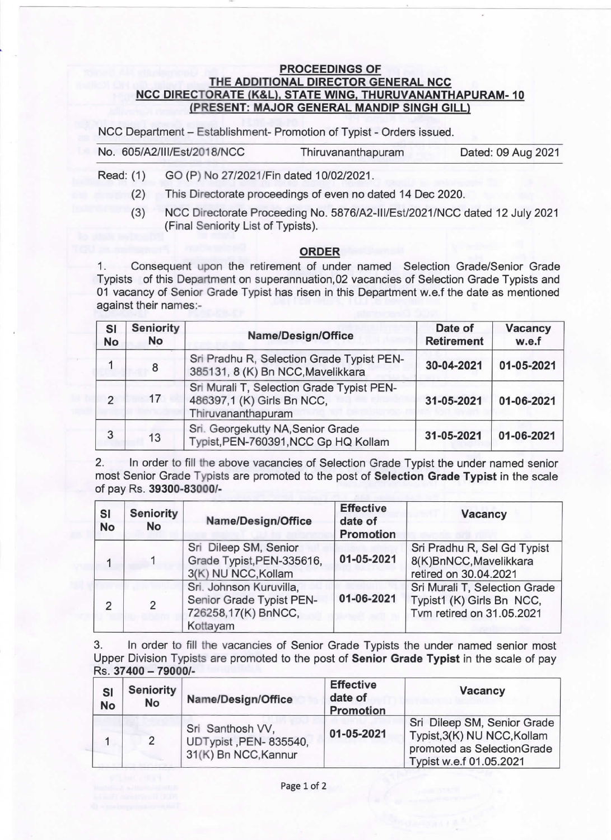## PROCEEDINGS OF THE ADDITIONAL DIRECTOR GENERAL NCC NCC DIRECTORATE (K&L), STATE WING, THURUVANANTHAPURAM-10 (PRESENT: MAJOR GENERAL MANDIP SINGH GILL)

NCC Department - Establishment- Promotion of Typist - Orders issued.

| No. 605/A2/III/Est/2018/NCC | Thiruvananthapuram | Dated: 09 Aug 2021 |
|-----------------------------|--------------------|--------------------|
|                             |                    |                    |

Read: (1) GO(P) No27/2021/Findated 10/02/2021.

(2) This Directorate proceedings of even no dated 14 Dec 2020.

(3) NCO Directorate proceeding No. 5876/A2-Ill/EsV2021/NCc dated 12 July 2021 (Final Seniority List of Typists).

## ORDER

1. Consequent upon the retirement of under named Selection Grade/Senior Grade Typists of this Department on superannuation,02 vacancies of Selection Grade Typists and 01 vacancy of Senior Grade Typist has risen in this Department w.e.f the date as mentioned against their names:-

| SI<br>No       | <b>Seniority</b><br><b>No</b> | Name/Design/Office                                                                            | Date of<br><b>Retirement</b> | <b>Vacancy</b><br>w.e.f |
|----------------|-------------------------------|-----------------------------------------------------------------------------------------------|------------------------------|-------------------------|
|                | 8                             | Sri Pradhu R, Selection Grade Typist PEN-<br>385131, 8 (K) Bn NCC, Mavelikkara                | 30-04-2021                   | 01-05-2021              |
| $\overline{2}$ | 17                            | Sri Murali T, Selection Grade Typist PEN-<br>486397,1 (K) Girls Bn NCC,<br>Thiruvananthapuram | 31-05-2021                   | 01-06-2021              |
| 3              | 13                            | Sri. Georgekutty NA, Senior Grade<br>Typist, PEN-760391, NCC Gp HQ Kollam                     | 31-05-2021                   | 01-06-2021              |

2. In order to fill the above vacancies of selection Grade Typist the under named senior most Senior Grade Typists are promoted to the post of Selection Grade Typist in the scale Of pay Rs. 39300-83000/-

| <b>SI</b><br><b>No</b> | <b>Seniority</b><br><b>No</b> | Name/Design/Office                                                                     | <b>Effective</b><br>date of<br><b>Promotion</b> | <b>Vacancy</b>                                                                          |
|------------------------|-------------------------------|----------------------------------------------------------------------------------------|-------------------------------------------------|-----------------------------------------------------------------------------------------|
|                        |                               | Sri Dileep SM, Senior<br>Grade Typist, PEN-335616,<br>3(K) NU NCC, Kollam              | 01-05-2021                                      | Sri Pradhu R, Sel Gd Typist<br>8(K)BnNCC, Mavelikkara<br>retired on 30.04.2021          |
| 2                      | $\mathcal{P}$                 | Sri. Johnson Kuruvilla,<br>Senior Grade Typist PEN-<br>726258,17(K) BnNCC,<br>Kottayam | 01-06-2021                                      | Sri Murali T, Selection Grade<br>Typist1 (K) Girls Bn NCC,<br>Tvm retired on 31.05.2021 |

3. In order to fill the vacancies of Senior Grade Typists the under named senior most Upper Division Typists are promoted to the post of Senior Grade Typist in the scale of pay Rs. 37400 - 79000/-

| <b>SI</b><br><b>No</b> | Seniority<br><b>No</b> | Name/Design/Office                                                | <b>Effective</b><br>date of<br><b>Promotion</b> | Vacancy                                                                                                             |
|------------------------|------------------------|-------------------------------------------------------------------|-------------------------------------------------|---------------------------------------------------------------------------------------------------------------------|
|                        |                        | Sri Santhosh VV,<br>UDTypist, PEN-835540,<br>31(K) Bn NCC, Kannur | 01-05-2021                                      | Sri Dileep SM, Senior Grade<br>Typist, 3(K) NU NCC, Kollam<br>promoted as SelectionGrade<br>Typist w.e.f 01.05.2021 |